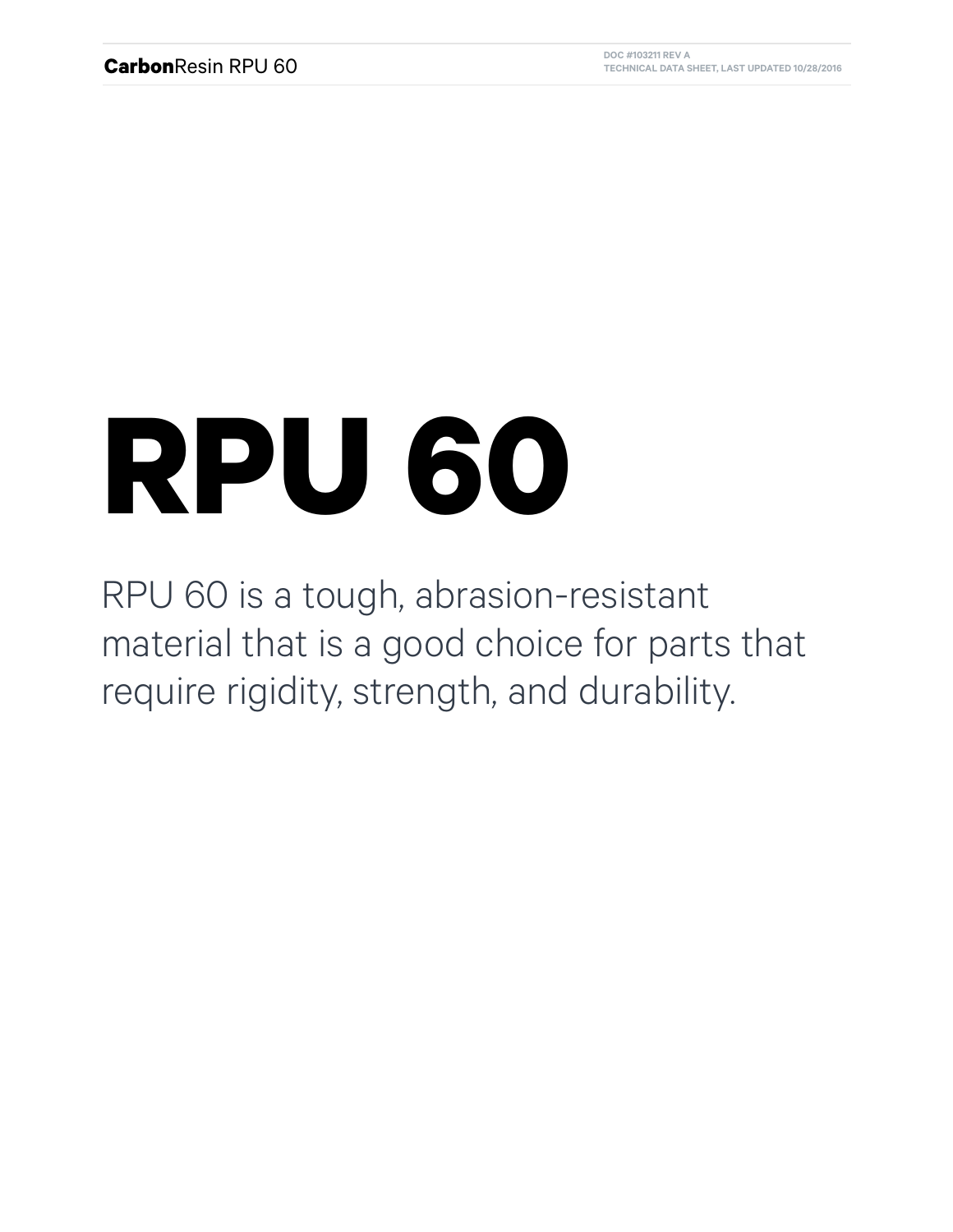## **RPU 60**

RPU 60 is a tough, abrasion-resistant material that is a good choice for parts that require rigidity, strength, and durability.